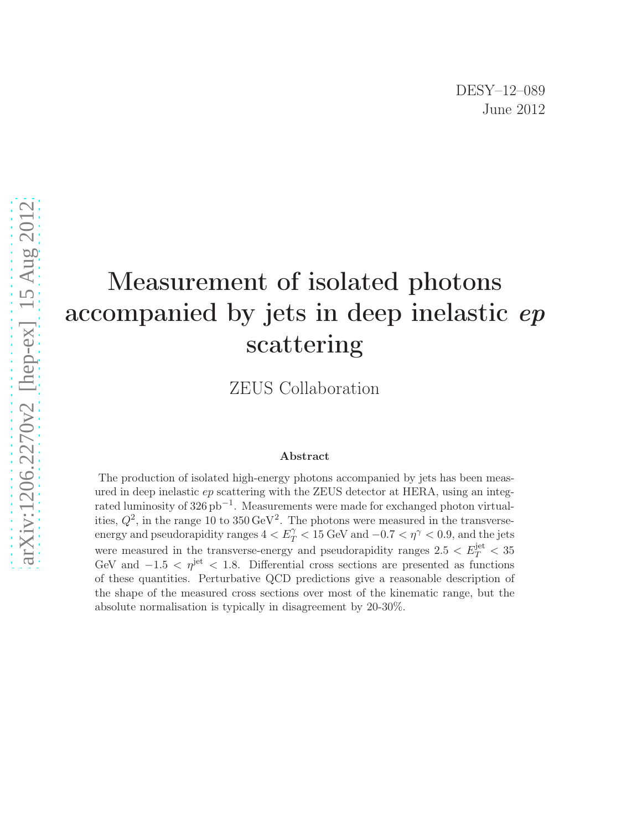# Measurement of isolated photons accompanied by jets in deep inelastic ep scattering

ZEUS Collaboration

#### Abstract

The production of isolated high-energy photons accompanied by jets has been measured in deep inelastic ep scattering with the ZEUS detector at HERA, using an integrated luminosity of  $326\,\mathrm{pb}^{-1}$ . Measurements were made for exchanged photon virtualities,  $Q^2$ , in the range 10 to 350 GeV<sup>2</sup>. The photons were measured in the transverseenergy and pseudorapidity ranges  $4 < E_T^{\gamma} < 15$  GeV and  $-0.7 < \eta^{\gamma} < 0.9$ , and the jets were measured in the transverse-energy and pseudorapidity ranges  $2.5 < E_T^{\text{jet}} < 35$ GeV and  $-1.5 < \eta^{\rm jet} < 1.8$ . Differential cross sections are presented as functions of these quantities. Perturbative QCD predictions give a reasonable description of the shape of the measured cross sections over most of the kinematic range, but the absolute normalisation is typically in disagreement by 20-30%.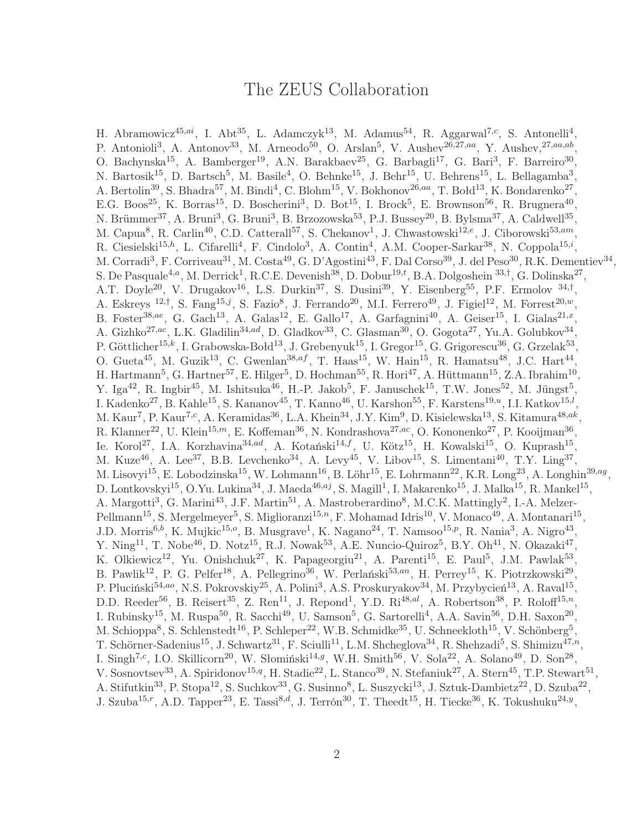## The ZEUS Collaboration

H. Abramowicz<sup>45,ai</sup>, I. Abt<sup>35</sup>, L. Adamczyk<sup>13</sup>, M. Adamus<sup>54</sup>, R. Aggarwal<sup>7,c</sup>, S. Antonelli<sup>4</sup>, P. Antonioli<sup>3</sup>, A. Antonov<sup>33</sup>, M. Arneodo<sup>50</sup>, O. Arslan<sup>5</sup>, V. Aushev<sup>26,27,aa</sup>, Y. Aushev,<sup>27,aa,ab</sup>, O. Bachynska<sup>15</sup>, A. Bamberger<sup>19</sup>, A.N. Barakbaev<sup>25</sup>, G. Barbagli<sup>17</sup>, G. Bari<sup>3</sup>, F. Barreiro<sup>30</sup>, N. Bartosik<sup>15</sup>, D. Bartsch<sup>5</sup>, M. Basile<sup>4</sup>, O. Behnke<sup>15</sup>, J. Behr<sup>15</sup>, U. Behrens<sup>15</sup>, L. Bellagamba<sup>3</sup>, A. Bertolin<sup>39</sup>, S. Bhadra<sup>57</sup>, M. Bindi<sup>4</sup>, C. Blohm<sup>15</sup>, V. Bokhonov<sup>26,aa</sup>, T. Bołd<sup>13</sup>, K. Bondarenko<sup>27</sup>, E.G. Boos<sup>25</sup>, K. Borras<sup>15</sup>, D. Boscherini<sup>3</sup>, D. Bot<sup>15</sup>, I. Brock<sup>5</sup>, E. Brownson<sup>56</sup>, R. Brugnera<sup>40</sup>, N. Brümmer<sup>37</sup>, A. Bruni<sup>3</sup>, G. Bruni<sup>3</sup>, B. Brzozowska<sup>53</sup>, P.J. Bussey<sup>20</sup>, B. Bylsma<sup>37</sup>, A. Caldwell<sup>35</sup>, M. Capua<sup>8</sup>, R. Carlin<sup>40</sup>, C.D. Catterall<sup>57</sup>, S. Chekanov<sup>1</sup>, J. Chwastowski<sup>12,e</sup>, J. Ciborowski<sup>53,am</sup>, R. Ciesielski<sup>15,h</sup>, L. Cifarelli<sup>4</sup>, F. Cindolo<sup>3</sup>, A. Contin<sup>4</sup>, A.M. Cooper-Sarkar<sup>38</sup>, N. Coppola<sup>15,i</sup>, M. Corradi<sup>3</sup>, F. Corriveau<sup>31</sup>, M. Costa<sup>49</sup>, G. D'Agostini<sup>43</sup>, F. Dal Corso<sup>39</sup>, J. del Peso<sup>30</sup>, R.K. Dementiev<sup>34</sup>, S. De Pasquale<sup>4,a</sup>, M. Derrick<sup>1</sup>, R.C.E. Devenish<sup>38</sup>, D. Dobur<sup>19,t</sup>, B.A. Dolgoshein <sup>33,†</sup>, G. Dolinska<sup>27</sup>, A.T. Doyle<sup>20</sup>, V. Drugakov<sup>16</sup>, L.S. Durkin<sup>37</sup>, S. Dusini<sup>39</sup>, Y. Eisenberg<sup>55</sup>, P.F. Ermolov <sup>34,†</sup>, A. Eskreys<sup>12,†</sup>, S. Fang<sup>15,j</sup>, S. Fazio<sup>8</sup>, J. Ferrando<sup>20</sup>, M.I. Ferrero<sup>49</sup>, J. Figiel<sup>12</sup>, M. Forrest<sup>20,w</sup>, B. Foster<sup>38,ae</sup>, G. Gach<sup>13</sup>, A. Galas<sup>12</sup>, E. Gallo<sup>17</sup>, A. Garfagnini<sup>40</sup>, A. Geiser<sup>15</sup>, I. Gialas<sup>21,x</sup>, A. Gizhko<sup>27,ac</sup>, L.K. Gladilin<sup>34,ad</sup>, D. Gladkov<sup>33</sup>, C. Glasman<sup>30</sup>, O. Gogota<sup>27</sup>, Yu.A. Golubkov<sup>34</sup>, P. Göttlicher<sup>15,k</sup>, I. Grabowska-Bołd<sup>13</sup>, J. Grebenyuk<sup>15</sup>, I. Gregor<sup>15</sup>, G. Grigorescu<sup>36</sup>, G. Grzelak<sup>53</sup>, O. Gueta<sup>45</sup>, M. Guzik<sup>13</sup>, C. Gwenlan<sup>38,af</sup>, T. Haas<sup>15</sup>, W. Hain<sup>15</sup>, R. Hamatsu<sup>48</sup>, J.C. Hart<sup>44</sup>, H. Hartmann<sup>5</sup>, G. Hartner<sup>57</sup>, E. Hilger<sup>5</sup>, D. Hochman<sup>55</sup>, R. Hori<sup>47</sup>, A. Hüttmann<sup>15</sup>, Z.A. Ibrahim<sup>10</sup>, Y. Iga<sup>42</sup>, R. Ingbir<sup>45</sup>, M. Ishitsuka<sup>46</sup>, H.-P. Jakob<sup>5</sup>, F. Januschek<sup>15</sup>, T.W. Jones<sup>52</sup>, M. Jüngst<sup>5</sup>, I. Kadenko<sup>27</sup>, B. Kahle<sup>15</sup>, S. Kananov<sup>45</sup>, T. Kanno<sup>46</sup>, U. Karshon<sup>55</sup>, F. Karstens<sup>19,*u*</sup>, I.I. Katkov<sup>15,*l*</sup>, M. Kaur<sup>7</sup>, P. Kaur<sup>7,c</sup>, A. Keramidas<sup>36</sup>, L.A. Khein<sup>34</sup>, J.Y. Kim<sup>9</sup>, D. Kisielewska<sup>13</sup>, S. Kitamura<sup>48,ak</sup>, R. Klanner<sup>22</sup>, U. Klein<sup>15,*m*</sup>, E. Koffeman<sup>36</sup>, N. Kondrashova<sup>27,ac</sup>, O. Kononenko<sup>27</sup>, P. Kooijman<sup>36</sup>, Ie. Korol<sup>27</sup>, I.A. Korzhavina<sup>34,ad</sup>, A. Kotański<sup>14,f</sup>, U. Kötz<sup>15</sup>, H. Kowalski<sup>15</sup>, O. Kuprash<sup>15</sup>, M. Kuze<sup>46</sup>, A. Lee<sup>37</sup>, B.B. Levchenko<sup>34</sup>, A. Levy<sup>45</sup>, V. Libov<sup>15</sup>, S. Limentani<sup>40</sup>, T.Y. Ling<sup>37</sup>, M. Lisovyi<sup>15</sup>, E. Lobodzinska<sup>15</sup>, W. Lohmann<sup>16</sup>, B. Löhr<sup>15</sup>, E. Lohrmann<sup>22</sup>, K.R. Long<sup>23</sup>, A. Longhin<sup>39,ag</sup>, D. Lontkovskyi<sup>15</sup>, O.Yu. Lukina<sup>34</sup>, J. Maeda<sup>46,aj</sup>, S. Magill<sup>1</sup>, I. Makarenko<sup>15</sup>, J. Malka<sup>15</sup>, R. Mankel<sup>15</sup>, A. Margotti<sup>3</sup>, G. Marini<sup>43</sup>, J.F. Martin<sup>51</sup>, A. Mastroberardino<sup>8</sup>, M.C.K. Mattingly<sup>2</sup>, I.-A. Melzer-Pellmann<sup>15</sup>, S. Mergelmeyer<sup>5</sup>, S. Miglioranzi<sup>15,n</sup>, F. Mohamad Idris<sup>10</sup>, V. Monaco<sup>49</sup>, A. Montanari<sup>15</sup>, J.D. Morris<sup>6,b</sup>, K. Mujkic<sup>15,o</sup>, B. Musgrave<sup>1</sup>, K. Nagano<sup>24</sup>, T. Namsoo<sup>15,p</sup>, R. Nania<sup>3</sup>, A. Nigro<sup>43</sup>, Y. Ning<sup>11</sup>, T. Nobe<sup>46</sup>, D. Notz<sup>15</sup>, R.J. Nowak<sup>53</sup>, A.E. Nuncio-Quiroz<sup>5</sup>, B.Y. Oh<sup>41</sup>, N. Okazaki<sup>47</sup>, K. Olkiewicz<sup>12</sup>, Yu. Onishchuk<sup>27</sup>, K. Papageorgiu<sup>21</sup>, A. Parenti<sup>15</sup>, E. Paul<sup>5</sup>, J.M. Pawlak<sup>53</sup>, B. Pawlik<sup>12</sup>, P. G. Pelfer<sup>18</sup>, A. Pellegrino<sup>36</sup>, W. Perlański<sup>53,an</sup>, H. Perrey<sup>15</sup>, K. Piotrzkowski<sup>29</sup>, P. Pluciński<sup>54,ao</sup>, N.S. Pokrovskiy<sup>25</sup>, A. Polini<sup>3</sup>, A.S. Proskuryakov<sup>34</sup>, M. Przybycień<sup>13</sup>, A. Raval<sup>15</sup>, D.D. Reeder<sup>56</sup>, B. Reisert<sup>35</sup>, Z. Ren<sup>11</sup>, J. Repond<sup>1</sup>, Y.D. Ri<sup>48,al</sup>, A. Robertson<sup>38</sup>, P. Roloff<sup>15,n</sup>, I. Rubinsky<sup>15</sup>, M. Ruspa<sup>50</sup>, R. Sacchi<sup>49</sup>, U. Samson<sup>5</sup>, G. Sartorelli<sup>4</sup>, A.A. Savin<sup>56</sup>, D.H. Saxon<sup>20</sup>, M. Schioppa<sup>8</sup>, S. Schlenstedt<sup>16</sup>, P. Schleper<sup>22</sup>, W.B. Schmidke<sup>35</sup>, U. Schneekloth<sup>15</sup>, V. Schönberg<sup>5</sup>, T. Schörner-Sadenius<sup>15</sup>, J. Schwartz<sup>31</sup>, F. Sciulli<sup>11</sup>, L.M. Shcheglova<sup>34</sup>, R. Shehzadi<sup>5</sup>, S. Shimizu<sup>47,n</sup>, I. Singh<sup>7,c</sup>, I.O. Skillicorn<sup>20</sup>, W. Słomiński<sup>14,g</sup>, W.H. Smith<sup>56</sup>, V. Sola<sup>22</sup>, A. Solano<sup>49</sup>, D. Son<sup>28</sup>, V. Sosnovtsev<sup>33</sup>, A. Spiridonov<sup>15,q</sup>, H. Stadie<sup>22</sup>, L. Stanco<sup>39</sup>, N. Stefaniuk<sup>27</sup>, A. Stern<sup>45</sup>, T.P. Stewart<sup>51</sup>, A. Stifutkin<sup>33</sup>, P. Stopa<sup>12</sup>, S. Suchkov<sup>33</sup>, G. Susinno<sup>8</sup>, L. Suszycki<sup>13</sup>, J. Sztuk-Dambietz<sup>22</sup>, D. Szuba<sup>22</sup>, J. Szuba<sup>15,r</sup>, A.D. Tapper<sup>23</sup>, E. Tassi<sup>8,d</sup>, J. Terrón<sup>30</sup>, T. Theedt<sup>15</sup>, H. Tiecke<sup>36</sup>, K. Tokushuku<sup>24,y</sup>,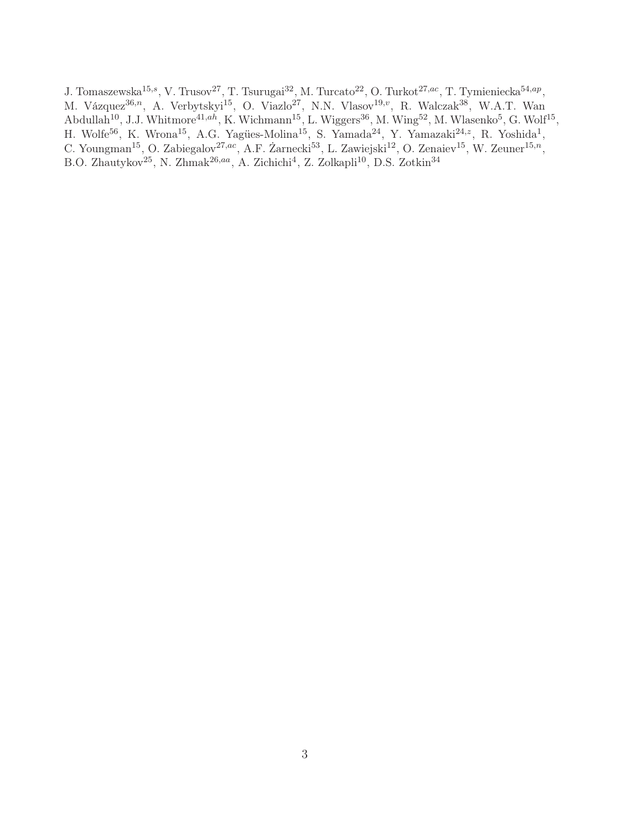J. Tomaszewska<sup>15,s</sup>, V. Trusov<sup>27</sup>, T. Tsurugai<sup>32</sup>, M. Turcato<sup>22</sup>, O. Turkot<sup>27,ac</sup>, T. Tymieniecka<sup>54,ap</sup>, M. Vázquez<sup>36,n</sup>, A. Verbytskyi<sup>15</sup>, O. Viazlo<sup>27</sup>, N.N. Vlasov<sup>19,v</sup>, R. Walczak<sup>38</sup>, W.A.T. Wan Abdullah<sup>10</sup>, J.J. Whitmore<sup>41,ah</sup>, K. Wichmann<sup>15</sup>, L. Wiggers<sup>36</sup>, M. Wing<sup>52</sup>, M. Wlasenko<sup>5</sup>, G. Wolf<sup>15</sup>, H. Wolfe<sup>56</sup>, K. Wrona<sup>15</sup>, A.G. Yagües-Molina<sup>15</sup>, S. Yamada<sup>24</sup>, Y. Yamazaki<sup>24, z</sup>, R. Yoshida<sup>1</sup>, C. Youngman<sup>15</sup>, O. Zabiegalov<sup>27,ac</sup>, A.F. Żarnecki<sup>53</sup>, L. Zawiejski<sup>12</sup>, O. Zenaiev<sup>15</sup>, W. Zeuner<sup>15,n</sup>, B.O. Zhautykov<sup>25</sup>, N. Zhmak<sup>26,aa</sup>, A. Zichichi<sup>4</sup>, Z. Zolkapli<sup>10</sup>, D.S. Zotkin<sup>34</sup>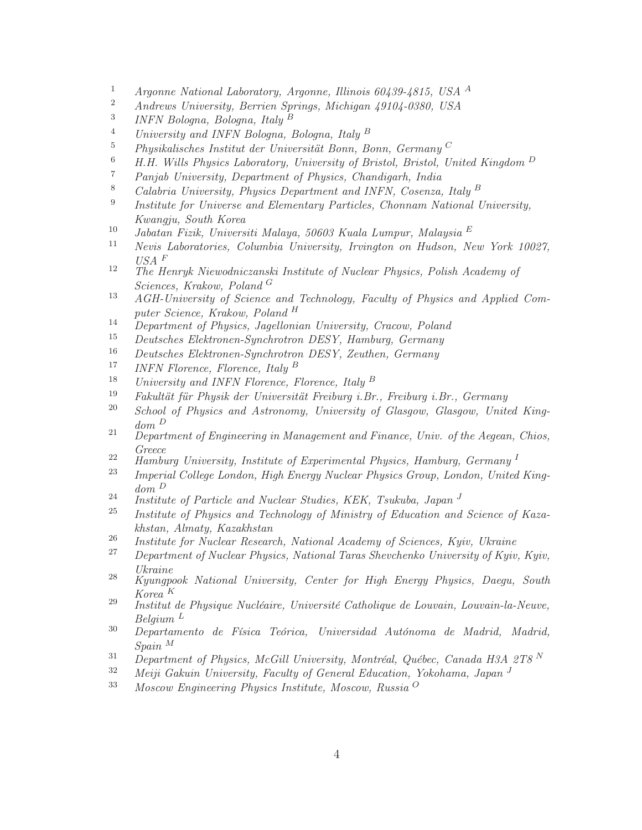- <sup>1</sup> Argonne National Laboratory, Argonne, Illinois 60439-4815, USA <sup>A</sup><br><sup>2</sup> Androws University, Bernice Springs, Michigan (010) 0220, USA
- <sup>2</sup> Andrews University, Berrien Springs, Michigan 49104-0380, USA
- 3 INFN Bologna, Bologna, Italy <sup>B</sup>
- <sup>4</sup> University and INFN Bologna, Bologna, Italy <sup>B</sup>
- <sup>5</sup> Physikalisches Institut der Universität Bonn, Bonn, Germany  $C$
- <sup>6</sup> H.H. Wills Physics Laboratory, University of Bristol, Bristol, United Kingdom <sup>D</sup><br><sup>7</sup> Panjab University, Department of Physics, Chandigarb, India
- <sup>7</sup> Panjab University, Department of Physics, Chandigarh, India<br><sup>8</sup> Colabria University, Physics Department and INFN Cosenza
- <sup>8</sup> Calabria University, Physics Department and INFN, Cosenza, Italy <sup>B</sup>
- 9 Institute for Universe and Elementary Particles, Chonnam National University, Kwangju, South Korea
- <sup>10</sup> Jabatan Fizik, Universiti Malaya, 50603 Kuala Lumpur, Malaysia E<br><sup>11</sup> Newis Labaratories, Columbia University, Irvinator on Hydson, N
- <sup>11</sup> Nevis Laboratories, Columbia University, Irvington on Hudson, New York 10027,  $\textit{USA}$   $\emph{F}$
- <sup>12</sup> The Henryk Niewodniczanski Institute of Nuclear Physics, Polish Academy of Sciences, Krakow, Poland <sup>G</sup>
- <sup>13</sup> AGH-University of Science and Technology, Faculty of Physics and Applied Computer Science, Krakow, Poland <sup>H</sup>
- <sup>14</sup> Department of Physics, Jagellonian University, Cracow, Poland
- <sup>15</sup> Deutsches Elektronen-Synchrotron DESY, Hamburg, Germany<br><sup>16</sup> Deutsches Elektronen-Synchrotron DESY, Zeuthen, Germany
- <sup>16</sup> Deutsches Elektronen-Synchrotron DESY, Zeuthen, Germany
- <sup>17</sup> INFN Florence, Florence, Italy <sup>B</sup><br><sup>18</sup> Ilminoratty and INFN Florence, F
- <sup>18</sup> University and INFN Florence, Florence, Italy <sup>B</sup><br><sup>19</sup> Eskultät fär Physik der Universität Freihung i Br
- <sup>19</sup> Fakultät für Physik der Universität Freiburg i.Br., Freiburg i.Br., Germany<br><sup>20</sup> School of Physics and Astronomy, University of Classey, Classey, United
- <sup>20</sup> School of Physics and Astronomy, University of Glasgow, Glasgow, United Kingdom <sup>D</sup>
- $21$  Department of Engineering in Management and Finance, Univ. of the Aegean, Chios, Greece
- <sup>22</sup> Hamburg University, Institute of Experimental Physics, Hamburg, Germany<sup>I</sup>
- <sup>23</sup> Imperial College London, High Energy Nuclear Physics Group, London, United Kingdom <sup>D</sup>
- <sup>24</sup> Institute of Particle and Nuclear Studies, KEK, Tsukuba, Japan <sup>J</sup><br><sup>25</sup> Institute of Physics and Technology of Ministry of Education and
- Institute of Physics and Technology of Ministry of Education and Science of Kazakhstan, Almaty, Kazakhstan
- <sup>26</sup> Institute for Nuclear Research, National Academy of Sciences, Kyiv, Ukraine
- <sup>27</sup> Department of Nuclear Physics, National Taras Shevchenko University of Kyiv, Kyiv, Ukraine
- $28$  Kyungpook National University, Center for High Energy Physics, Daegu, South Korea <sup>K</sup>
- <sup>29</sup> Institut de Physique Nucléaire, Université Catholique de Louvain, Louvain-la-Neuve, Belgium <sup>L</sup>
- <sup>30</sup> Departamento de Física Teórica, Universidad Autónoma de Madrid, Madrid, Spain <sup>M</sup>
- <sup>31</sup> Department of Physics, McGill University, Montréal, Québec, Canada H3A 2T8<sup>N</sup><br><sup>32</sup> Maii Calvin University, Faculty of Canaral Education, Valabama, Japan J
- $32$  Meiji Gakuin University, Faculty of General Education, Yokohama, Japan  $J$ <br> $33$  Messery Engineering Physics Institute Messery Pussic O
- <sup>33</sup> Moscow Engineering Physics Institute, Moscow, Russia <sup>O</sup>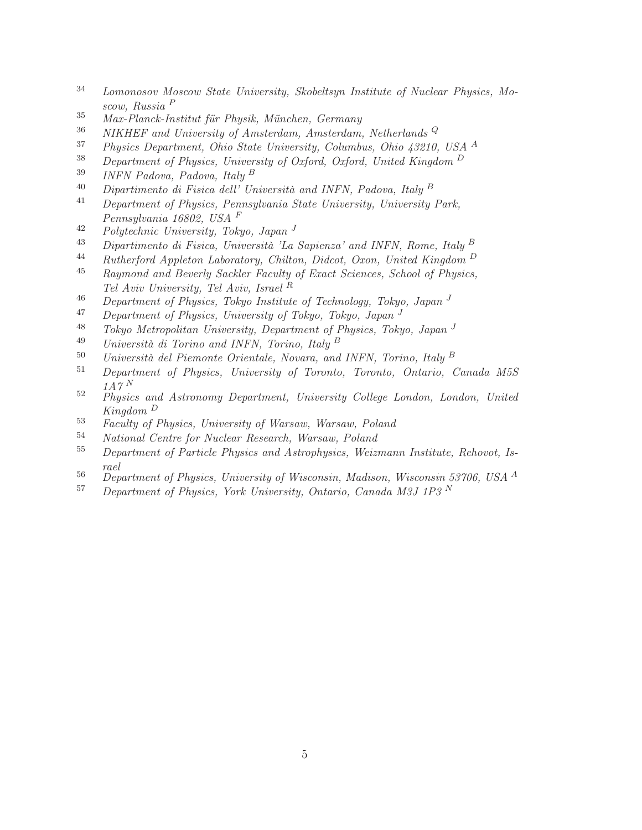- <sup>34</sup> Lomonosov Moscow State University, Skobeltsyn Institute of Nuclear Physics, Moscow, Russia <sup>P</sup>
- <sup>35</sup> Max-Planck-Institut für Physik, München, Germany
- <sup>36</sup> NIKHEF and University of Amsterdam, Amsterdam, Netherlands<sup>Q</sup>
- <sup>37</sup> Physics Department, Ohio State University, Columbus, Ohio 43210, USA <sup>A</sup>
- <sup>38</sup> Department of Physics, University of Oxford, Oxford, United Kingdom  $D$ <br><sup>39</sup> INEN Padova, Padova, Italy <sup>B</sup>
- $INFN$  Padova, Padova, Italy  $^B$
- $^{40}$  Dipartimento di Fisica dell' Università and INFN, Padova, Italy  $^B$
- <sup>41</sup> Department of Physics, Pennsylvania State University, University Park, Pennsylvania 16802, USA <sup>F</sup>
- $^{42}$  Polytechnic University, Tokyo, Japan  $^{J}$
- <sup>43</sup> Dipartimento di Fisica, Università 'La Sapienza' and INFN, Rome, Italy <sup>B</sup>
- 44 Rutherford Appleton Laboratory, Chilton, Didcot, Oxon, United Kingdom  $\frac{D}{45}$  Raymond and Beyerly Sackler Eacyliu of Exact Sciences, School of Physics
- <sup>45</sup> Raymond and Beverly Sackler Faculty of Exact Sciences, School of Physics, Tel Aviv University, Tel Aviv, Israel <sup>R</sup>
- <sup>46</sup> Department of Physics, Tokyo Institute of Technology, Tokyo, Japan<sup>J</sup><br><sup>47</sup> Department of Physics, University of Tokyo, Tokyo, Japan<sup>J</sup>
- <sup>47</sup> Department of Physics, University of Tokyo, Tokyo, Japan <sup>J</sup><br><sup>48</sup> Tokyo, Matropolitan University, Department of Physics, Toky
- <sup>48</sup> Tokyo Metropolitan University, Department of Physics, Tokyo, Japan<sup>J</sup><br><sup>49</sup> Università di Torino and INEN Torino, Italy <sup>B</sup>
- Università di Torino and INFN, Torino, Italy  $^B$
- <sup>50</sup> Università del Piemonte Orientale, Novara, and INFN, Torino, Italy <sup>B</sup><br><sup>51</sup> Department of Physics University of Toronto Toronto Ontario (
- <sup>51</sup> Department of Physics, University of Toronto, Toronto, Ontario, Canada M5S  $1A\gamma N$
- <sup>52</sup> Physics and Astronomy Department, University College London, London, United Kingdom <sup>D</sup>
- <sup>53</sup> Faculty of Physics, University of Warsaw, Warsaw, Poland
- <sup>54</sup> National Centre for Nuclear Research, Warsaw, Poland
- <sup>55</sup> Department of Particle Physics and Astrophysics, Weizmann Institute, Rehovot, Israel
- <sup>56</sup> Department of Physics, University of Wisconsin, Madison, Wisconsin 53706, USA <sup>A</sup>
- $57$  Department of Physics, York University, Ontario, Canada M3J 1P3<sup>N</sup>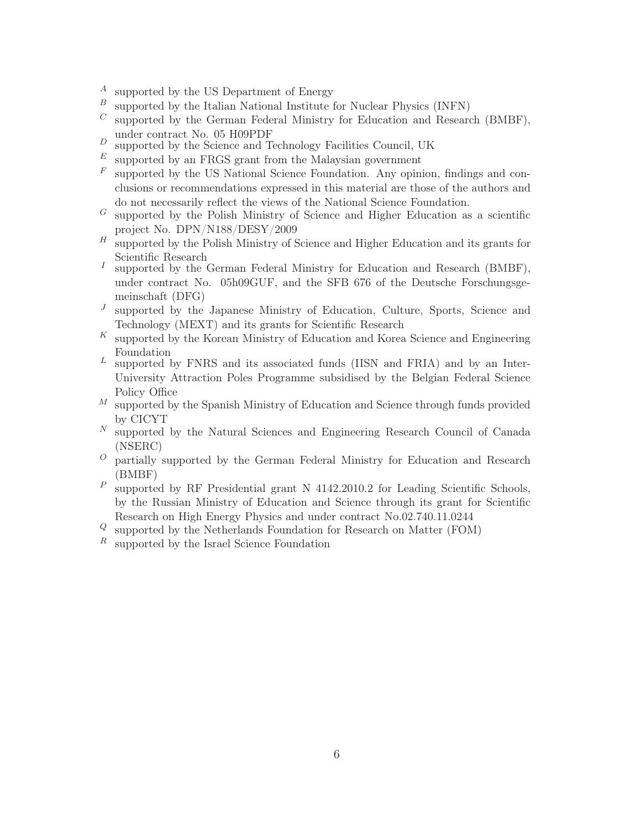- $A$  supported by the US Department of Energy<br> $B$  supported by the Italian National Institute
- supported by the Italian National Institute for Nuclear Physics (INFN)
- $C$  supported by the German Federal Ministry for Education and Research (BMBF), under contract No. 05 H09PDF
- $D$  supported by the Science and Technology Facilities Council, UK
- $E$  supported by an FRGS grant from the Malaysian government
- $F$  supported by the US National Science Foundation. Any opinion, findings and conclusions or recommendations expressed in this material are those of the authors and do not necessarily reflect the views of the National Science Foundation.
- $G$  supported by the Polish Ministry of Science and Higher Education as a scientific project No. DPN/N188/DESY/2009
- $H$  supported by the Polish Ministry of Science and Higher Education and its grants for Scientific Research
- I supported by the German Federal Ministry for Education and Research (BMBF), under contract No. 05h09GUF, and the SFB 676 of the Deutsche Forschungsgemeinschaft (DFG)
- $J$ supported by the Japanese Ministry of Education, Culture, Sports, Science and Technology (MEXT) and its grants for Scientific Research
- $K$  supported by the Korean Ministry of Education and Korea Science and Engineering Foundation
- $L$  supported by FNRS and its associated funds (IISN and FRIA) and by an Inter-University Attraction Poles Programme subsidised by the Belgian Federal Science Policy Office
- $M$  supported by the Spanish Ministry of Education and Science through funds provided by CICYT
- $N$  supported by the Natural Sciences and Engineering Research Council of Canada (NSERC)
- $\overline{O}$  partially supported by the German Federal Ministry for Education and Research (BMBF)
- $P \n\text{ supported by RF Presidential grant N } 4142.2010.2 for Leading Scientific Schools,$ by the Russian Ministry of Education and Science through its grant for Scientific Research on High Energy Physics and under contract No.02.740.11.0244
- <sup>Q</sup> supported by the Netherlands Foundation for Research on Matter (FOM)
- $R$  supported by the Israel Science Foundation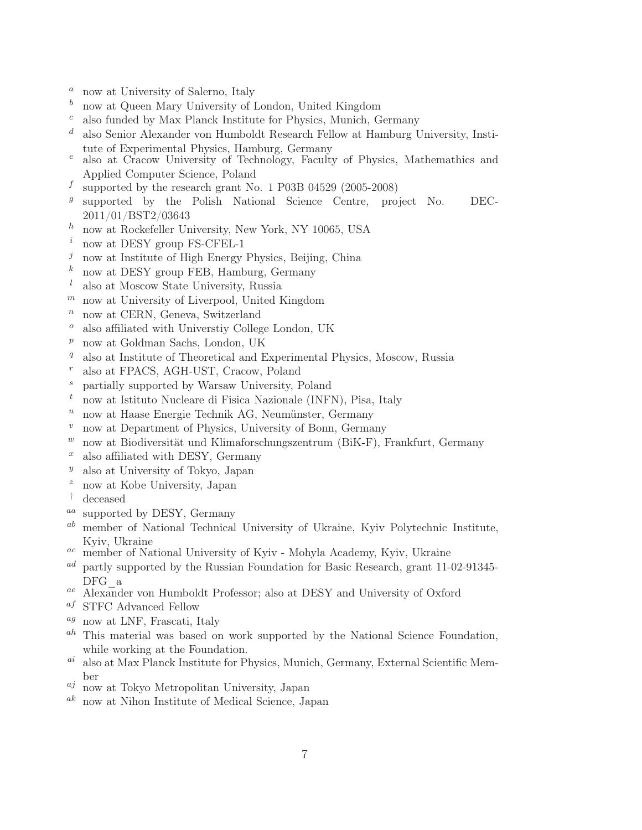- $a$  now at University of Salerno, Italy
- $<sup>b</sup>$  now at Queen Mary University of London, United Kingdom</sup>
- $c$  also funded by Max Planck Institute for Physics, Munich, Germany
- $d$  also Senior Alexander von Humboldt Research Fellow at Hamburg University, Institute of Experimental Physics, Hamburg, Germany
- $e$  also at Cracow University of Technology, Faculty of Physics, Mathemathics and Applied Computer Science, Poland
- $<sup>f</sup>$  supported by the research grant No. 1 P03B 04529 (2005-2008)</sup>
- $g$ supported by the Polish National Science Centre, project No. DEC-2011/01/BST2/03643
- $h$  now at Rockefeller University, New York, NY 10065, USA
- $i$  now at DESY group FS-CFEL-1
- $j$  now at Institute of High Energy Physics, Beijing, China
- $k$  now at DESY group FEB, Hamburg, Germany
- $l$  also at Moscow State University, Russia
- $<sup>m</sup>$  now at University of Liverpool, United Kingdom</sup>
- $n$  now at CERN, Geneva, Switzerland
- $\degree$  also affiliated with Universtiy College London, UK
- $p$  now at Goldman Sachs, London, UK
- $q$  also at Institute of Theoretical and Experimental Physics, Moscow, Russia
- <sup>r</sup> also at FPACS, AGH-UST, Cracow, Poland
- <sup>s</sup> partially supported by Warsaw University, Poland
- $t$  now at Istituto Nucleare di Fisica Nazionale (INFN), Pisa, Italy
- $u$  now at Haase Energie Technik AG, Neumünster, Germany
- $v$  now at Department of Physics, University of Bonn, Germany
- $w$  now at Biodiversität und Klimaforschungszentrum (BiK-F), Frankfurt, Germany
- $x$  also affiliated with DESY, Germany
- $y$  also at University of Tokyo, Japan
- $z$  now at Kobe University, Japan
- † deceased
- aa supported by DESY, Germany
- $a^b$  member of National Technical University of Ukraine, Kyiv Polytechnic Institute, Kyiv, Ukraine
- ac member of National University of Kyiv Mohyla Academy, Kyiv, Ukraine
- ad partly supported by the Russian Foundation for Basic Research, grant 11-02-91345- DFG\_a
- ae Alexander von Humboldt Professor; also at DESY and University of Oxford
- af STFC Advanced Fellow
- $^{ag}$  now at LNF, Frascati, Italy
- $a<sup>h</sup>$  This material was based on work supported by the National Science Foundation, while working at the Foundation.
- $a_i$  also at Max Planck Institute for Physics, Munich, Germany, External Scientific Member
- $a_j$  now at Tokyo Metropolitan University, Japan
- ak now at Nihon Institute of Medical Science, Japan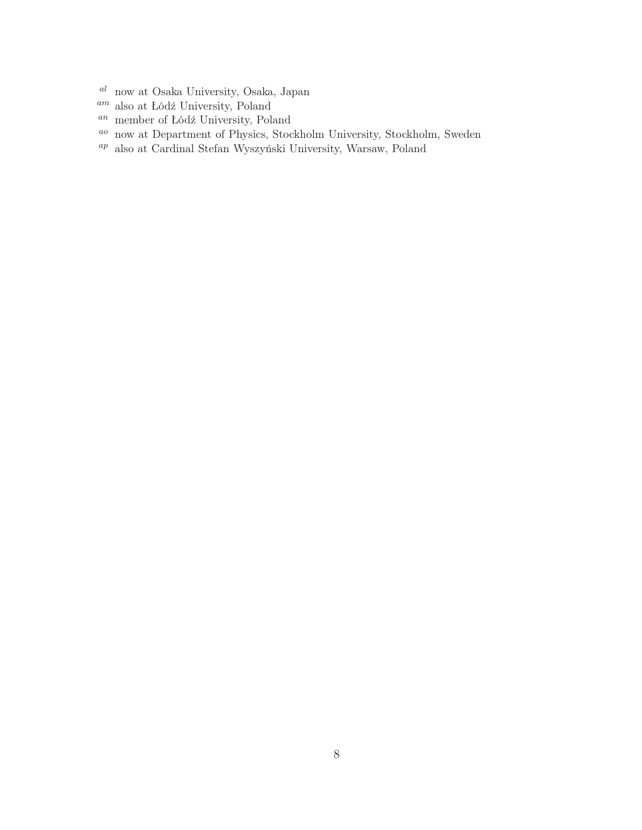- $^{\mathit{al}\;}$ now at Osaka University, Osaka, Japan
- $^{am}$  also at Łódź University, Poland
- an member of Łódź University, Poland
- ao now at Department of Physics, Stockholm University, Stockholm, Sweden
- $^{ap}\:$ also at Cardinal Stefan Wyszyński University, Warsaw, Poland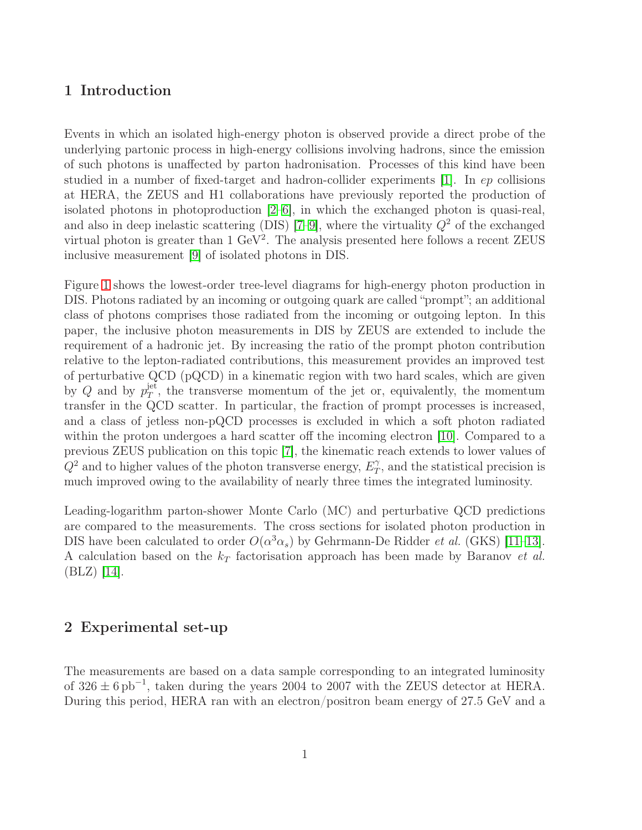#### 1 Introduction

Events in which an isolated high-energy photon is observed provide a direct probe of the underlying partonic process in high-energy collisions involving hadrons, since the emission of such photons is unaffected by parton hadronisation. Processes of this kind have been studied in a number of fixed-target and hadron-collider experiments [1]. In ep collisions at HERA, the ZEUS and H1 collaborations have previously reported the production of isolated photons in photoproduction [2–6], in which the exchanged photon is quasi-real, and also in deep inelastic scattering (DIS) [7–9], where the virtuality  $Q^2$  of the exchanged virtual photon is greater than  $1 \text{ GeV}^2$ . The analysis presented here follows a recent ZEUS inclusive measurement [9] of isolated photons in DIS.

Figure [1](#page-22-0) shows the lowest-order tree-level diagrams for high-energy photon production in DIS. Photons radiated by an incoming or outgoing quark are called "prompt"; an additional class of photons comprises those radiated from the incoming or outgoing lepton. In this paper, the inclusive photon measurements in DIS by ZEUS are extended to include the requirement of a hadronic jet. By increasing the ratio of the prompt photon contribution relative to the lepton-radiated contributions, this measurement provides an improved test of perturbative QCD (pQCD) in a kinematic region with two hard scales, which are given by Q and by  $p_T^{\text{jet}}$  $T<sup>jet</sup>$ , the transverse momentum of the jet or, equivalently, the momentum transfer in the QCD scatter. In particular, the fraction of prompt processes is increased, and a class of jetless non-pQCD processes is excluded in which a soft photon radiated within the proton undergoes a hard scatter off the incoming electron [10]. Compared to a previous ZEUS publication on this topic [7], the kinematic reach extends to lower values of  $Q^2$  and to higher values of the photon transverse energy,  $E_T^{\gamma}$  $T$ , and the statistical precision is much improved owing to the availability of nearly three times the integrated luminosity.

Leading-logarithm parton-shower Monte Carlo (MC) and perturbative QCD predictions are compared to the measurements. The cross sections for isolated photon production in DIS have been calculated to order  $O(\alpha^3 \alpha_s)$  by Gehrmann-De Ridder *et al.* (GKS) [11–13]. A calculation based on the  $k_T$  factorisation approach has been made by Baranov *et al.* (BLZ) [14].

#### 2 Experimental set-up

The measurements are based on a data sample corresponding to an integrated luminosity of  $326 \pm 6$  pb<sup>-1</sup>, taken during the years 2004 to 2007 with the ZEUS detector at HERA. During this period, HERA ran with an electron/positron beam energy of 27.5 GeV and a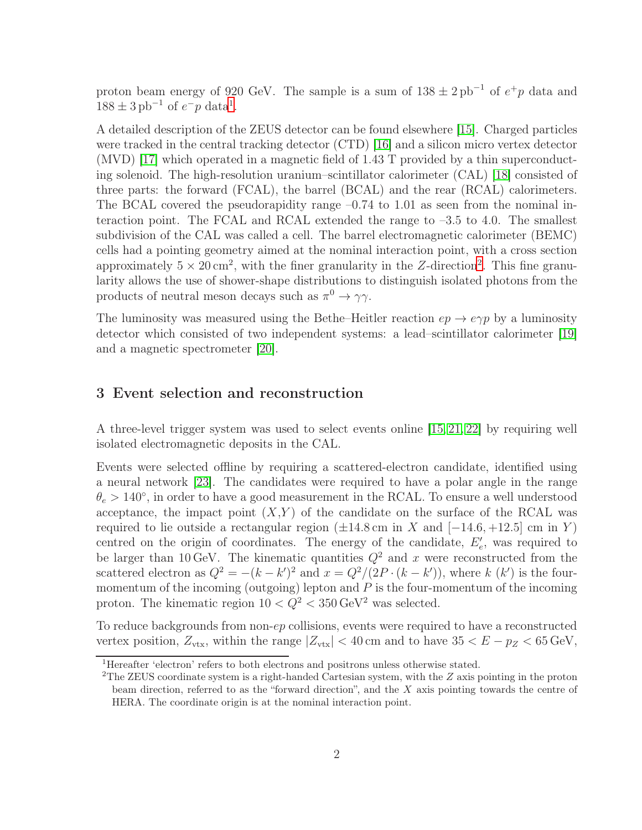proton beam energy of 920 GeV. The sample is a sum of  $138 \pm 2 \text{ pb}^{-1}$  of  $e^+p$  data and  $188 \pm 3 \text{ pb}^{-1}$  $188 \pm 3 \text{ pb}^{-1}$  of  $e^- p$  data<sup>1</sup>.

A detailed description of the ZEUS detector can be found elsewhere [15]. Charged particles were tracked in the central tracking detector (CTD) [16] and a silicon micro vertex detector (MVD) [17] which operated in a magnetic field of 1.43 T provided by a thin superconducting solenoid. The high-resolution uranium–scintillator calorimeter (CAL) [18] consisted of three parts: the forward (FCAL), the barrel (BCAL) and the rear (RCAL) calorimeters. The BCAL covered the pseudorapidity range  $-0.74$  to 1.01 as seen from the nominal interaction point. The FCAL and RCAL extended the range to  $-3.5$  to 4.0. The smallest subdivision of the CAL was called a cell. The barrel electromagnetic calorimeter (BEMC) cells had a pointing geometry aimed at the nominal interaction point, with a cross section approximately  $5 \times 20 \text{ cm}^2$  $5 \times 20 \text{ cm}^2$  $5 \times 20 \text{ cm}^2$ , with the finer granularity in the Z-direction<sup>2</sup>. This fine granularity allows the use of shower-shape distributions to distinguish isolated photons from the products of neutral meson decays such as  $\pi^0 \to \gamma \gamma$ .

The luminosity was measured using the Bethe–Heitler reaction  $ep \rightarrow e\gamma p$  by a luminosity detector which consisted of two independent systems: a lead–scintillator calorimeter [19] and a magnetic spectrometer [20].

#### <span id="page-9-2"></span>3 Event selection and reconstruction

A three-level trigger system was used to select events online [15, 21, 22] by requiring well isolated electromagnetic deposits in the CAL.

Events were selected offline by requiring a scattered-electron candidate, identified using a neural network [23]. The candidates were required to have a polar angle in the range  $\theta_e > 140^{\circ}$ , in order to have a good measurement in the RCAL. To ensure a well understood acceptance, the impact point  $(X,Y)$  of the candidate on the surface of the RCAL was required to lie outside a rectangular region  $(\pm 14.8 \text{ cm in } X \text{ and } [-14.6, +12.5] \text{ cm in } Y)$ centred on the origin of coordinates. The energy of the candidate,  $E'_{e}$ , was required to be larger than 10 GeV. The kinematic quantities  $Q^2$  and x were reconstructed from the scattered electron as  $Q^2 = -(k - k')^2$  and  $x = Q^2/(2P \cdot (k - k'))$ , where k  $(k')$  is the fourmomentum of the incoming (outgoing) lepton and  $P$  is the four-momentum of the incoming proton. The kinematic region  $10 < \tilde{Q}^2 < 350 \,\text{GeV}^2$  was selected.

To reduce backgrounds from non-ep collisions, events were required to have a reconstructed vertex position,  $Z_{\text{vtx}}$ , within the range  $|Z_{\text{vtx}}| < 40 \text{ cm}$  and to have  $35 < E - p_Z < 65 \text{ GeV}$ ,

<sup>&</sup>lt;sup>1</sup>Hereafter 'electron' refers to both electrons and positrons unless otherwise stated.

<span id="page-9-1"></span><span id="page-9-0"></span><sup>&</sup>lt;sup>2</sup>The ZEUS coordinate system is a right-handed Cartesian system, with the  $Z$  axis pointing in the proton beam direction, referred to as the "forward direction", and the X axis pointing towards the centre of HERA. The coordinate origin is at the nominal interaction point.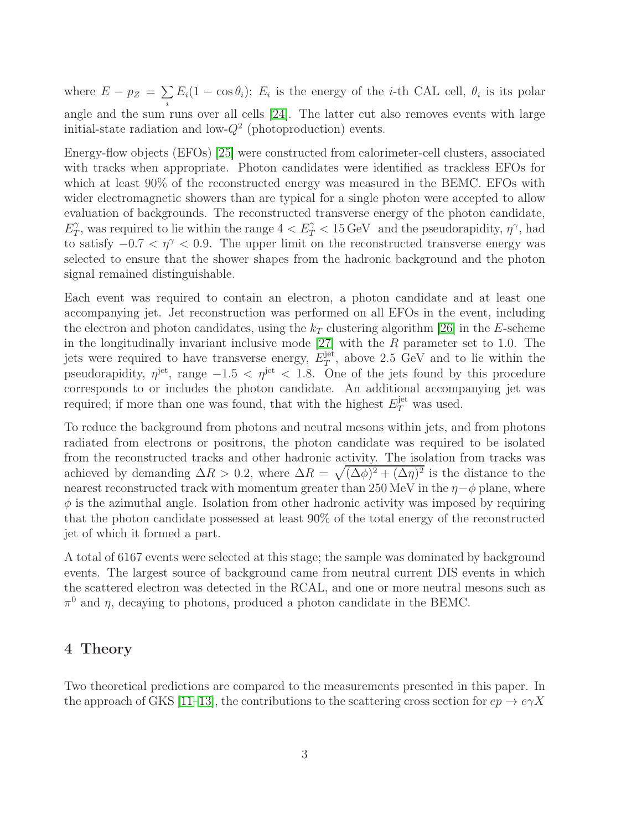where  $E - p_Z = \sum$ i  $E_i(1 - \cos\theta_i); E_i$  is the energy of the *i*-th CAL cell,  $\theta_i$  is its polar angle and the sum runs over all cells [24]. The latter cut also removes events with large initial-state radiation and low- $Q^2$  (photoproduction) events.

Energy-flow objects (EFOs) [25] were constructed from calorimeter-cell clusters, associated with tracks when appropriate. Photon candidates were identified as trackless EFOs for which at least 90% of the reconstructed energy was measured in the BEMC. EFOs with wider electromagnetic showers than are typical for a single photon were accepted to allow evaluation of backgrounds. The reconstructed transverse energy of the photon candidate,  $E_{\tau}^{\gamma}$  $T_T$ , was required to lie within the range  $4 < E_T^{\gamma} < 15 \,\text{GeV}$  and the pseudorapidity,  $\eta^{\gamma}$ , had to satisfy  $-0.7 < \eta^{\gamma} < 0.9$ . The upper limit on the reconstructed transverse energy was selected to ensure that the shower shapes from the hadronic background and the photon signal remained distinguishable.

Each event was required to contain an electron, a photon candidate and at least one accompanying jet. Jet reconstruction was performed on all EFOs in the event, including the electron and photon candidates, using the  $k_T$  clustering algorithm [26] in the E-scheme in the longitudinally invariant inclusive mode  $[27]$  with the R parameter set to 1.0. The jets were required to have transverse energy,  $E_T^{\text{jet}}$  $T^{\text{jet}}$ , above 2.5 GeV and to lie within the pseudorapidity,  $\eta^{\text{jet}}$ , range  $-1.5 < \eta^{\text{jet}} < 1.8$ . One of the jets found by this procedure corresponds to or includes the photon candidate. An additional accompanying jet was required; if more than one was found, that with the highest  $E_T^{\text{jet}}$  was used.

To reduce the background from photons and neutral mesons within jets, and from photons radiated from electrons or positrons, the photon candidate was required to be isolated from the reconstructed tracks and other hadronic activity. The isolation from tracks was achieved by demanding  $\Delta R > 0.2$ , where  $\Delta R = \sqrt{(\Delta \phi)^2 + (\Delta \eta)^2}$  is the distance to the nearest reconstructed track with momentum greater than 250 MeV in the  $\eta-\phi$  plane, where  $\phi$  is the azimuthal angle. Isolation from other hadronic activity was imposed by requiring that the photon candidate possessed at least 90% of the total energy of the reconstructed jet of which it formed a part.

A total of 6167 events were selected at this stage; the sample was dominated by background events. The largest source of background came from neutral current DIS events in which the scattered electron was detected in the RCAL, and one or more neutral mesons such as  $\pi^0$  and  $\eta$ , decaying to photons, produced a photon candidate in the BEMC.

#### <span id="page-10-0"></span>4 Theory

Two theoretical predictions are compared to the measurements presented in this paper. In the approach of GKS [11–13], the contributions to the scattering cross section for  $ep \rightarrow e\gamma X$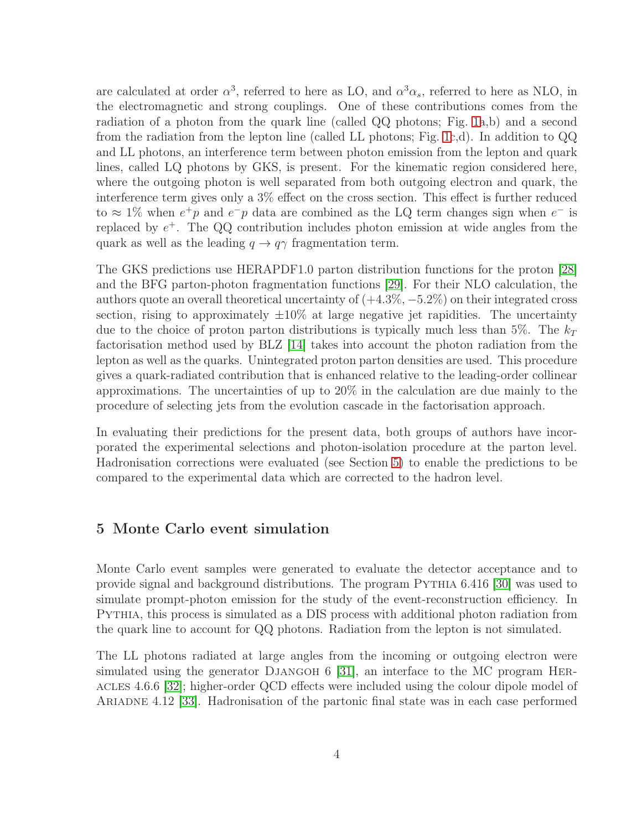are calculated at order  $\alpha^3$ , referred to here as LO, and  $\alpha^3 \alpha_s$ , referred to here as NLO, in the electromagnetic and strong couplings. One of these contributions comes from the radiation of a photon from the quark line (called QQ photons; Fig. [1a](#page-22-0),b) and a second from the radiation from the lepton line (called LL photons; Fig. [1c](#page-22-0),d). In addition to QQ and LL photons, an interference term between photon emission from the lepton and quark lines, called LQ photons by GKS, is present. For the kinematic region considered here, where the outgoing photon is well separated from both outgoing electron and quark, the interference term gives only a 3% effect on the cross section. This effect is further reduced to  $\approx 1\%$  when  $e^+p$  and  $e^-p$  data are combined as the LQ term changes sign when  $e^-$  is replaced by  $e^+$ . The QQ contribution includes photon emission at wide angles from the quark as well as the leading  $q \to q\gamma$  fragmentation term.

The GKS predictions use HERAPDF1.0 parton distribution functions for the proton [28] and the BFG parton-photon fragmentation functions [29]. For their NLO calculation, the authors quote an overall theoretical uncertainty of  $(+4.3\%, -5.2\%)$  on their integrated cross section, rising to approximately  $\pm 10\%$  at large negative jet rapidities. The uncertainty due to the choice of proton parton distributions is typically much less than 5%. The  $k_T$ factorisation method used by BLZ [14] takes into account the photon radiation from the lepton as well as the quarks. Unintegrated proton parton densities are used. This procedure gives a quark-radiated contribution that is enhanced relative to the leading-order collinear approximations. The uncertainties of up to 20% in the calculation are due mainly to the procedure of selecting jets from the evolution cascade in the factorisation approach.

In evaluating their predictions for the present data, both groups of authors have incorporated the experimental selections and photon-isolation procedure at the parton level. Hadronisation corrections were evaluated (see Section [5\)](#page-11-0) to enable the predictions to be compared to the experimental data which are corrected to the hadron level.

#### <span id="page-11-0"></span>5 Monte Carlo event simulation

Monte Carlo event samples were generated to evaluate the detector acceptance and to provide signal and background distributions. The program Pythia 6.416 [30] was used to simulate prompt-photon emission for the study of the event-reconstruction efficiency. In Pythia, this process is simulated as a DIS process with additional photon radiation from the quark line to account for QQ photons. Radiation from the lepton is not simulated.

The LL photons radiated at large angles from the incoming or outgoing electron were simulated using the generator DJANGOH 6 [31], an interface to the MC program HERacles 4.6.6 [32]; higher-order QCD effects were included using the colour dipole model of Ariadne 4.12 [33]. Hadronisation of the partonic final state was in each case performed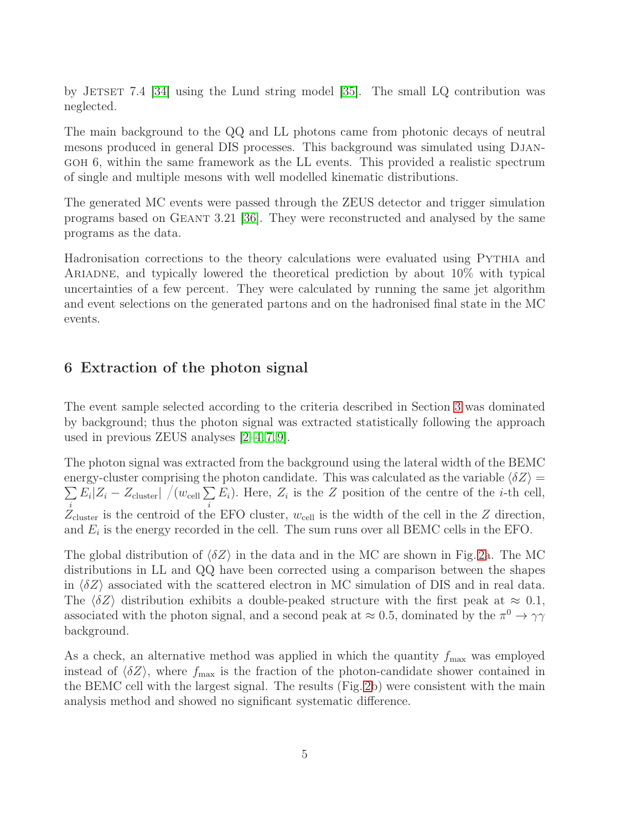by JETSET 7.4 [34] using the Lund string model [35]. The small LQ contribution was neglected.

The main background to the QQ and LL photons came from photonic decays of neutral mesons produced in general DIS processes. This background was simulated using Djangoh 6, within the same framework as the LL events. This provided a realistic spectrum of single and multiple mesons with well modelled kinematic distributions.

The generated MC events were passed through the ZEUS detector and trigger simulation programs based on Geant 3.21 [36]. They were reconstructed and analysed by the same programs as the data.

Hadronisation corrections to the theory calculations were evaluated using Pythia and Ariadne, and typically lowered the theoretical prediction by about 10% with typical uncertainties of a few percent. They were calculated by running the same jet algorithm and event selections on the generated partons and on the hadronised final state in the MC events.

### 6 Extraction of the photon signal

The event sample selected according to the criteria described in Section [3](#page-9-2) was dominated by background; thus the photon signal was extracted statistically following the approach used in previous ZEUS analyses [2–4, 7, 9].

The photon signal was extracted from the background using the lateral width of the BEMC  $\sum E_i |Z_i - Z_{\text{cluster}}| / (w_{\text{cell}} \sum E_i)$ . Here,  $Z_i$  is the Z position of the centre of the *i*-th cell, energy-cluster comprising the photon candidate. This was calculated as the variable  $\langle \delta Z \rangle$  =  $Z_{\text{cluster}}^i$  is the centroid of the EFO cluster,  $w_{\text{cell}}$  is the width of the cell in the Z direction, and  $E_i$  is the energy recorded in the cell. The sum runs over all BEMC cells in the EFO.

The global distribution of  $\langle \delta Z \rangle$  in the data and in the MC are shown in Fig. [2a](#page-23-0). The MC distributions in LL and QQ have been corrected using a comparison between the shapes in  $\langle \delta Z \rangle$  associated with the scattered electron in MC simulation of DIS and in real data. The  $\langle \delta Z \rangle$  distribution exhibits a double-peaked structure with the first peak at  $\approx 0.1$ , associated with the photon signal, and a second peak at  $\approx 0.5$ , dominated by the  $\pi^0 \to \gamma\gamma$ background.

As a check, an alternative method was applied in which the quantity  $f_{\text{max}}$  was employed instead of  $\langle \delta Z \rangle$ , where  $f_{\text{max}}$  is the fraction of the photon-candidate shower contained in the BEMC cell with the largest signal. The results (Fig. [2b](#page-23-0)) were consistent with the main analysis method and showed no significant systematic difference.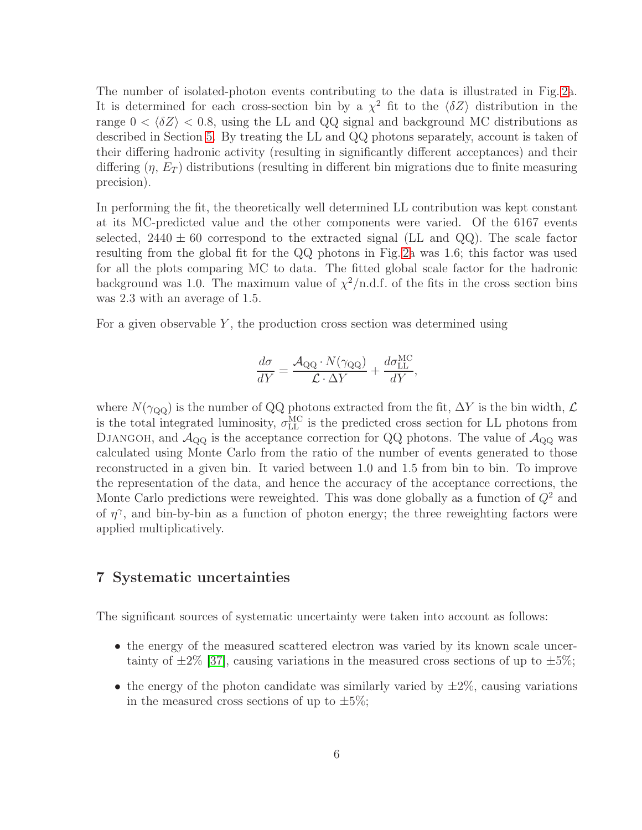The number of isolated-photon events contributing to the data is illustrated in Fig. [2a](#page-23-0). It is determined for each cross-section bin by a  $\chi^2$  fit to the  $\langle \delta Z \rangle$  distribution in the range  $0 < \langle \delta Z \rangle < 0.8$ , using the LL and QQ signal and background MC distributions as described in Section [5.](#page-11-0) By treating the LL and QQ photons separately, account is taken of their differing hadronic activity (resulting in significantly different acceptances) and their differing  $(\eta, E_T)$  distributions (resulting in different bin migrations due to finite measuring precision).

In performing the fit, the theoretically well determined LL contribution was kept constant at its MC-predicted value and the other components were varied. Of the 6167 events selected,  $2440 \pm 60$  correspond to the extracted signal (LL and QQ). The scale factor resulting from the global fit for the QQ photons in Fig. [2a](#page-23-0) was 1.6; this factor was used for all the plots comparing MC to data. The fitted global scale factor for the hadronic background was 1.0. The maximum value of  $\chi^2/\text{n.d.f.}$  of the fits in the cross section bins was 2.3 with an average of 1.5.

For a given observable  $Y$ , the production cross section was determined using

$$
\frac{d\sigma}{dY} = \frac{\mathcal{A}_{\text{QQ}} \cdot N(\gamma_{\text{QQ}})}{\mathcal{L} \cdot \Delta Y} + \frac{d\sigma_{\text{LL}}^{\text{MC}}}{dY},
$$

where  $N(\gamma_{\rm QQ})$  is the number of QQ photons extracted from the fit,  $\Delta Y$  is the bin width,  $\mathcal L$ is the total integrated luminosity,  $\sigma_{LL}^{MC}$  is the predicted cross section for LL photons from DJANGOH, and  $A_{\text{QQ}}$  is the acceptance correction for QQ photons. The value of  $A_{\text{QQ}}$  was calculated using Monte Carlo from the ratio of the number of events generated to those reconstructed in a given bin. It varied between 1.0 and 1.5 from bin to bin. To improve the representation of the data, and hence the accuracy of the acceptance corrections, the Monte Carlo predictions were reweighted. This was done globally as a function of  $Q^2$  and of  $\eta^{\gamma}$ , and bin-by-bin as a function of photon energy; the three reweighting factors were applied multiplicatively.

#### 7 Systematic uncertainties

The significant sources of systematic uncertainty were taken into account as follows:

- the energy of the measured scattered electron was varied by its known scale uncertainty of  $\pm 2\%$  [37], causing variations in the measured cross sections of up to  $\pm 5\%$ ;
- the energy of the photon candidate was similarly varied by  $\pm 2\%$ , causing variations in the measured cross sections of up to  $\pm 5\%$ ;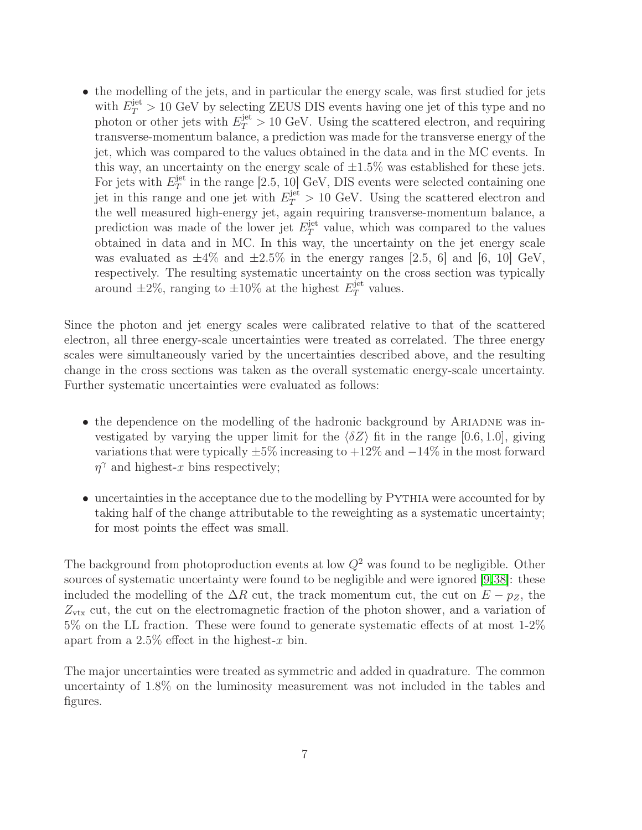• the modelling of the jets, and in particular the energy scale, was first studied for jets with  $E_T^{\text{jet}} > 10 \text{ GeV}$  by selecting ZEUS DIS events having one jet of this type and no photon or other jets with  $E_T^{\text{jet}} > 10 \text{ GeV}$ . Using the scattered electron, and requiring transverse-momentum balance, a prediction was made for the transverse energy of the jet, which was compared to the values obtained in the data and in the MC events. In this way, an uncertainty on the energy scale of  $\pm 1.5\%$  was established for these jets. For jets with  $E_T^{\text{jet}}$  $T<sub>T</sub><sup>jet</sup>$  in the range [2.5, 10] GeV, DIS events were selected containing one jet in this range and one jet with  $E_T^{\text{jet}} > 10 \text{ GeV}$ . Using the scattered electron and the well measured high-energy jet, again requiring transverse-momentum balance, a prediction was made of the lower jet  $E_T^{\text{jet}}$  $T<sup>jet</sup>$  value, which was compared to the values obtained in data and in MC. In this way, the uncertainty on the jet energy scale was evaluated as  $\pm 4\%$  and  $\pm 2.5\%$  in the energy ranges [2.5, 6] and [6, 10] GeV, respectively. The resulting systematic uncertainty on the cross section was typically around  $\pm 2\%$ , ranging to  $\pm 10\%$  at the highest  $E_T^{\text{jet}}$  $T^{\text{jet}}$  values.

Since the photon and jet energy scales were calibrated relative to that of the scattered electron, all three energy-scale uncertainties were treated as correlated. The three energy scales were simultaneously varied by the uncertainties described above, and the resulting change in the cross sections was taken as the overall systematic energy-scale uncertainty. Further systematic uncertainties were evaluated as follows:

- the dependence on the modelling of the hadronic background by ARIADNE was investigated by varying the upper limit for the  $\langle \delta Z \rangle$  fit in the range [0.6, 1.0], giving variations that were typically  $\pm 5\%$  increasing to  $+12\%$  and  $-14\%$  in the most forward  $\eta^{\gamma}$  and highest-x bins respectively;
- uncertainties in the acceptance due to the modelling by PYTHIA were accounted for by taking half of the change attributable to the reweighting as a systematic uncertainty; for most points the effect was small.

The background from photoproduction events at low  $Q^2$  was found to be negligible. Other sources of systematic uncertainty were found to be negligible and were ignored [9,38]: these included the modelling of the  $\Delta R$  cut, the track momentum cut, the cut on  $E - p_Z$ , the  $Z_{\text{vtx}}$  cut, the cut on the electromagnetic fraction of the photon shower, and a variation of 5% on the LL fraction. These were found to generate systematic effects of at most 1-2% apart from a  $2.5\%$  effect in the highest-x bin.

The major uncertainties were treated as symmetric and added in quadrature. The common uncertainty of 1.8% on the luminosity measurement was not included in the tables and figures.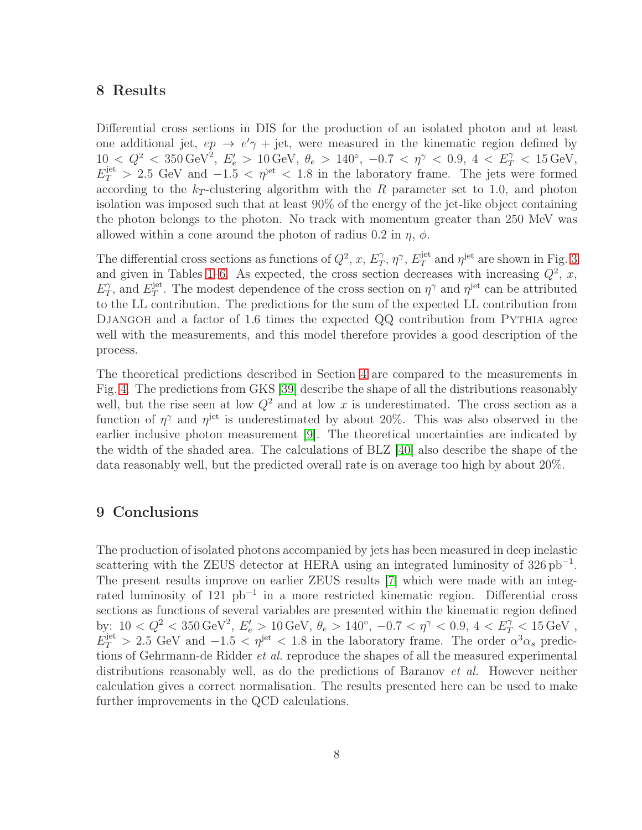### 8 Results

Differential cross sections in DIS for the production of an isolated photon and at least one additional jet,  $ep \rightarrow e' \gamma + jet$ , were measured in the kinematic region defined by  $10 \leq Q^2 \leq 350 \,\text{GeV}^2, \, E'_e > 10 \,\text{GeV}, \, \theta_e > 140^\circ, \, -0.7 \, < \, \eta^\gamma \, < \, 0.9, \, 4 \, < \, E_T^\gamma \, < \, 15 \,\text{GeV},$  $E_T^{\text{jet}} > 2.5 \text{ GeV}$  and  $-1.5 < \eta^{\text{jet}} < 1.8$  in the laboratory frame. The jets were formed according to the  $k_T$ -clustering algorithm with the R parameter set to 1.0, and photon isolation was imposed such that at least 90% of the energy of the jet-like object containing the photon belongs to the photon. No track with momentum greater than 250 MeV was allowed within a cone around the photon of radius 0.2 in  $\eta$ ,  $\phi$ .

The differential cross sections as functions of  $Q^2$ , x,  $E_T^{\gamma}$  $T^{\gamma}, \eta^{\gamma}, E_T^{\rm jet}$  $T^{\text{jet}}$  and  $\eta^{\text{jet}}$  are shown in Fig. [3](#page-24-0) and given in Tables [1–](#page-20-0)[6.](#page-21-0) As expected, the cross section decreases with increasing  $Q^2$ , x,  $E_T^{\gamma}$  $E_T^{\gamma}$ , and  $E_T^{\text{jet}}$ <sup>jet</sup>. The modest dependence of the cross section on  $\eta^{\gamma}$  and  $\eta^{\text{jet}}$  can be attributed to the LL contribution. The predictions for the sum of the expected LL contribution from DJANGOH and a factor of 1.6 times the expected QQ contribution from PYTHIA agree well with the measurements, and this model therefore provides a good description of the process.

The theoretical predictions described in Section [4](#page-10-0) are compared to the measurements in Fig. [4.](#page-25-0) The predictions from GKS [39] describe the shape of all the distributions reasonably well, but the rise seen at low  $Q^2$  and at low x is underestimated. The cross section as a function of  $\eta^{\gamma}$  and  $\eta^{\text{jet}}$  is underestimated by about 20%. This was also observed in the earlier inclusive photon measurement [9]. The theoretical uncertainties are indicated by the width of the shaded area. The calculations of BLZ [40] also describe the shape of the data reasonably well, but the predicted overall rate is on average too high by about 20%.

#### 9 Conclusions

The production of isolated photons accompanied by jets has been measured in deep inelastic scattering with the ZEUS detector at HERA using an integrated luminosity of  $326 \text{ pb}^{-1}$ . The present results improve on earlier ZEUS results [7] which were made with an integrated luminosity of 121 pb<sup>−</sup><sup>1</sup> in a more restricted kinematic region. Differential cross sections as functions of several variables are presented within the kinematic region defined by:  $10 < Q^2 < 350 \,\text{GeV}^2$ ,  $E'_e > 10 \,\text{GeV}$ ,  $\theta_e > 140^\circ$ ,  $-0.7 < \eta^\gamma < 0.9$ ,  $4 < E_T^\gamma < 15 \,\text{GeV}$ ,  $E_T^{\text{jet}} > 2.5 \text{ GeV}$  and  $-1.5 < \eta^{\text{jet}} < 1.8$  in the laboratory frame. The order  $\alpha^3 \alpha_s$  predictions of Gehrmann-de Ridder et al. reproduce the shapes of all the measured experimental distributions reasonably well, as do the predictions of Baranov *et al.* However neither calculation gives a correct normalisation. The results presented here can be used to make further improvements in the QCD calculations.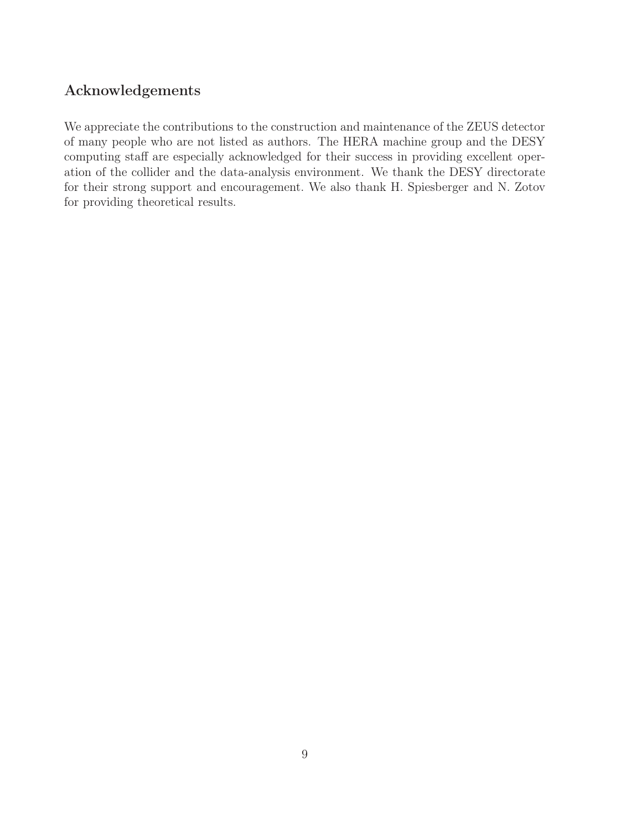## Acknowledgements

We appreciate the contributions to the construction and maintenance of the ZEUS detector of many people who are not listed as authors. The HERA machine group and the DESY computing staff are especially acknowledged for their success in providing excellent operation of the collider and the data-analysis environment. We thank the DESY directorate for their strong support and encouragement. We also thank H. Spiesberger and N. Zotov for providing theoretical results.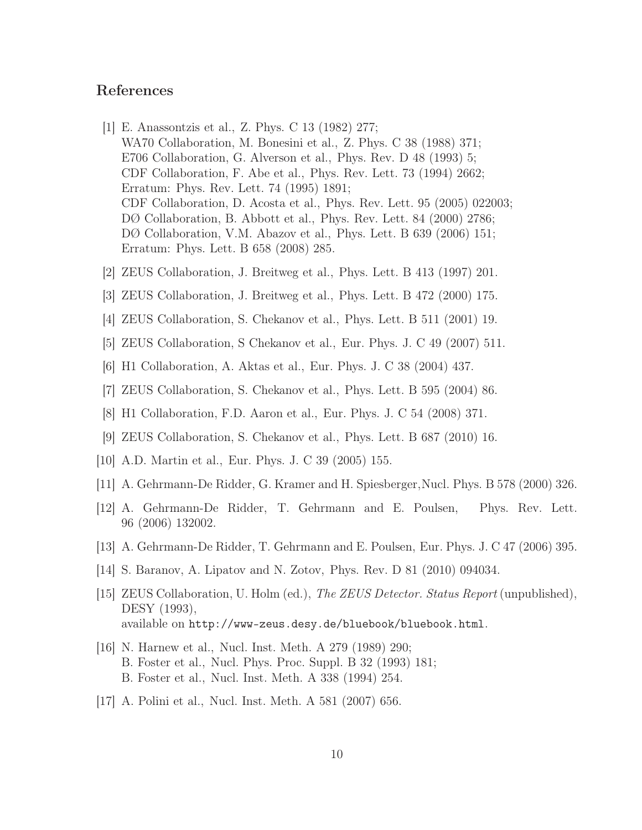#### References

- [1] E. Anassontzis et al., Z. Phys. C 13 (1982) 277; WA70 Collaboration, M. Bonesini et al., Z. Phys. C 38 (1988) 371; E706 Collaboration, G. Alverson et al., Phys. Rev. D 48 (1993) 5; CDF Collaboration, F. Abe et al., Phys. Rev. Lett. 73 (1994) 2662; Erratum: Phys. Rev. Lett. 74 (1995) 1891; CDF Collaboration, D. Acosta et al., Phys. Rev. Lett. 95 (2005) 022003; DØ Collaboration, B. Abbott et al., Phys. Rev. Lett. 84 (2000) 2786; DØ Collaboration, V.M. Abazov et al., Phys. Lett. B 639 (2006) 151; Erratum: Phys. Lett. B 658 (2008) 285.
- [2] ZEUS Collaboration, J. Breitweg et al., Phys. Lett. B 413 (1997) 201.
- [3] ZEUS Collaboration, J. Breitweg et al., Phys. Lett. B 472 (2000) 175.
- [4] ZEUS Collaboration, S. Chekanov et al., Phys. Lett. B 511 (2001) 19.
- [5] ZEUS Collaboration, S Chekanov et al., Eur. Phys. J. C 49 (2007) 511.
- [6] H1 Collaboration, A. Aktas et al., Eur. Phys. J. C 38 (2004) 437.
- [7] ZEUS Collaboration, S. Chekanov et al., Phys. Lett. B 595 (2004) 86.
- [8] H1 Collaboration, F.D. Aaron et al., Eur. Phys. J. C 54 (2008) 371.
- [9] ZEUS Collaboration, S. Chekanov et al., Phys. Lett. B 687 (2010) 16.
- [10] A.D. Martin et al., Eur. Phys. J. C 39 (2005) 155.
- [11] A. Gehrmann-De Ridder, G. Kramer and H. Spiesberger,Nucl. Phys. B 578 (2000) 326.
- [12] A. Gehrmann-De Ridder, T. Gehrmann and E. Poulsen, Phys. Rev. Lett. 96 (2006) 132002.
- [13] A. Gehrmann-De Ridder, T. Gehrmann and E. Poulsen, Eur. Phys. J. C 47 (2006) 395.
- [14] S. Baranov, A. Lipatov and N. Zotov, Phys. Rev. D 81 (2010) 094034.
- [15] ZEUS Collaboration, U. Holm (ed.), The ZEUS Detector. Status Report (unpublished), DESY (1993), available on http://www-zeus.desy.de/bluebook/bluebook.html.
- [16] N. Harnew et al., Nucl. Inst. Meth. A 279 (1989) 290; B. Foster et al., Nucl. Phys. Proc. Suppl. B 32 (1993) 181; B. Foster et al., Nucl. Inst. Meth. A 338 (1994) 254.
- [17] A. Polini et al., Nucl. Inst. Meth. A 581 (2007) 656.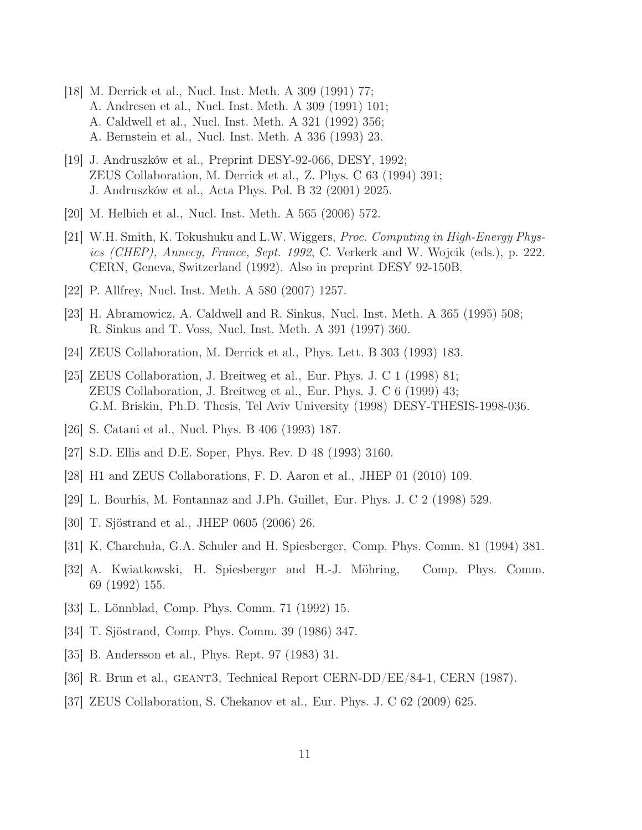- [18] M. Derrick et al., Nucl. Inst. Meth. A 309 (1991) 77; A. Andresen et al., Nucl. Inst. Meth. A 309 (1991) 101; A. Caldwell et al., Nucl. Inst. Meth. A 321 (1992) 356; A. Bernstein et al., Nucl. Inst. Meth. A 336 (1993) 23.
- [19] J. Andruszków et al., Preprint DESY-92-066, DESY, 1992; ZEUS Collaboration, M. Derrick et al., Z. Phys. C 63 (1994) 391; J. Andruszków et al., Acta Phys. Pol. B 32 (2001) 2025.
- [20] M. Helbich et al., Nucl. Inst. Meth. A 565 (2006) 572.
- [21] W.H. Smith, K. Tokushuku and L.W. Wiggers, Proc. Computing in High-Energy Physics (CHEP), Annecy, France, Sept. 1992, C. Verkerk and W. Wojcik (eds.), p. 222. CERN, Geneva, Switzerland (1992). Also in preprint DESY 92-150B.
- [22] P. Allfrey, Nucl. Inst. Meth. A 580 (2007) 1257.
- [23] H. Abramowicz, A. Caldwell and R. Sinkus, Nucl. Inst. Meth. A 365 (1995) 508; R. Sinkus and T. Voss, Nucl. Inst. Meth. A 391 (1997) 360.
- [24] ZEUS Collaboration, M. Derrick et al., Phys. Lett. B 303 (1993) 183.
- [25] ZEUS Collaboration, J. Breitweg et al., Eur. Phys. J. C 1 (1998) 81; ZEUS Collaboration, J. Breitweg et al., Eur. Phys. J. C 6 (1999) 43; G.M. Briskin, Ph.D. Thesis, Tel Aviv University (1998) DESY-THESIS-1998-036.
- [26] S. Catani et al., Nucl. Phys. B 406 (1993) 187.
- [27] S.D. Ellis and D.E. Soper, Phys. Rev. D 48 (1993) 3160.
- [28] H1 and ZEUS Collaborations, F. D. Aaron et al., JHEP 01 (2010) 109.
- [29] L. Bourhis, M. Fontannaz and J.Ph. Guillet, Eur. Phys. J. C 2 (1998) 529.
- [30] T. Sjöstrand et al., JHEP 0605 (2006) 26.
- [31] K. Charchuła, G.A. Schuler and H. Spiesberger, Comp. Phys. Comm. 81 (1994) 381.
- [32] A. Kwiatkowski, H. Spiesberger and H.-J. Möhring, Comp. Phys. Comm. 69 (1992) 155.
- [33] L. Lönnblad, Comp. Phys. Comm. 71 (1992) 15.
- [34] T. Sjöstrand, Comp. Phys. Comm. 39 (1986) 347.
- [35] B. Andersson et al., Phys. Rept. 97 (1983) 31.
- [36] R. Brun et al., geant3, Technical Report CERN-DD/EE/84-1, CERN (1987).
- [37] ZEUS Collaboration, S. Chekanov et al., Eur. Phys. J. C 62 (2009) 625.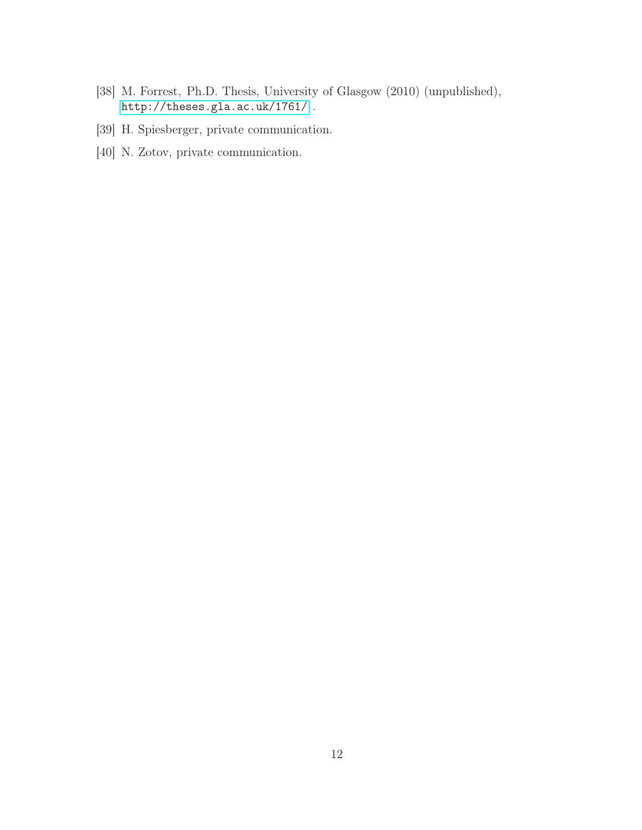- [38] M. Forrest, Ph.D. Thesis, University of Glasgow (2010) (unpublished), <http://theses.gla.ac.uk/1761/> .
- [39] H. Spiesberger, private communication.
- [40] N. Zotov, private communication.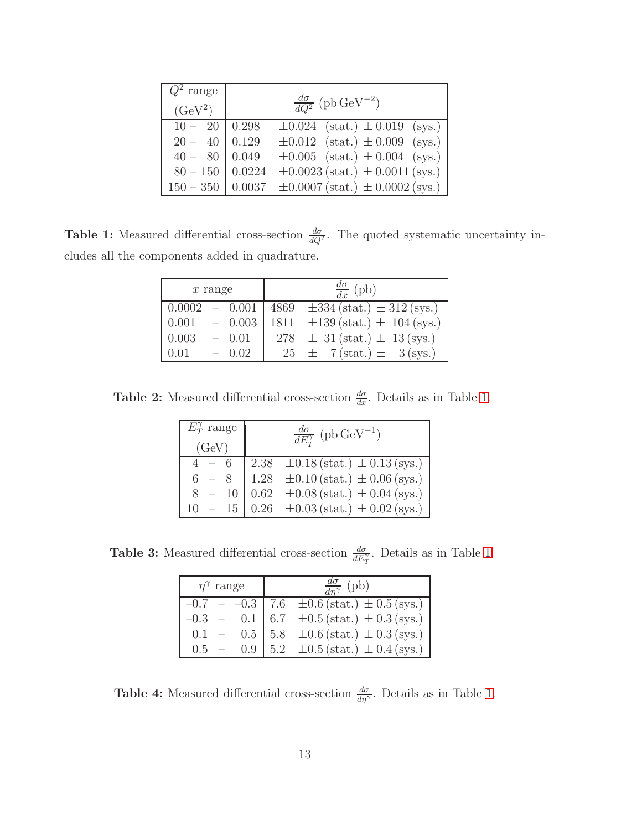| $Q^2$ range<br>$(GeV^2)$ |        | $\frac{d\sigma}{dQ^2}$ (pb GeV <sup>-2</sup> )                |
|--------------------------|--------|---------------------------------------------------------------|
| $10 - 20$                | 0.298  | $\pm 0.024$ (stat.) $\pm 0.019$ (sys.)                        |
| $20 - 40$                | 0.129  | $\pm 0.012$ (stat.) $\pm 0.009$ (sys.)                        |
| $40 - 80   0.049$        |        | $\pm 0.005$ (stat.) $\pm 0.004$ (sys.)                        |
| $80 - 150$               | 0.0224 | $\pm 0.0023$ (stat.) $\pm 0.0011$ (sys.)                      |
|                          |        | $150 - 350$   0.0037 $\pm 0.0007$ (stat.) $\pm 0.0002$ (sys.) |

<span id="page-20-0"></span>**Table 1:** Measured differential cross-section  $\frac{d\sigma}{dQ^2}$ . The quoted systematic uncertainty includes all the components added in quadrature.

| $x$ range |  | $\frac{d\sigma}{dx}$ (pb) |                                                                               |
|-----------|--|---------------------------|-------------------------------------------------------------------------------|
|           |  |                           | $0.0002 - 0.001 \mid 4869 \quad \pm 334 \text{(stat.)} \pm 312 \text{(sys.)}$ |
| 0.001     |  |                           | $-$ 0.003   1811 $\pm$ 139 (stat.) $\pm$ 104 (sys.)                           |
| 0.003     |  | $-0.01$                   | $278 \pm 31 \text{(stat.)} \pm 13 \text{(sys.)}$                              |
| 0.01      |  | $-0.02$                   | $25 \pm 7(\text{stat.}) \pm 3(\text{sys.})$                                   |

**Table 2:** Measured differential cross-section  $\frac{d\sigma}{dx}$ . Details as in Table [1.](#page-20-0)

| $E_T^{\gamma}$ range | $\frac{d\sigma}{dE_{\tau}^{\gamma}}$ (pb GeV <sup>-1</sup> )                                                                                                                                                                                                                                                                                                                             |
|----------------------|------------------------------------------------------------------------------------------------------------------------------------------------------------------------------------------------------------------------------------------------------------------------------------------------------------------------------------------------------------------------------------------|
| (GeV)                |                                                                                                                                                                                                                                                                                                                                                                                          |
|                      |                                                                                                                                                                                                                                                                                                                                                                                          |
|                      |                                                                                                                                                                                                                                                                                                                                                                                          |
|                      |                                                                                                                                                                                                                                                                                                                                                                                          |
| $10 - 15$            | $\begin{tabular}{ c c c c c c c} \hline 4 & - & 6 & 2.38 & \pm 0.18 \, (\text{stat.}) \, \pm 0.13 \, (\text{sys.}) \\ 6 & - & 8 & 1.28 & \pm 0.10 \, (\text{stat.}) \, \pm 0.06 \, (\text{sys.}) \\ 8 & - & 10 & 0.62 & \pm 0.08 \, (\text{stat.}) \, \pm 0.04 \, (\text{sys.}) \\ 10 & - & 15 & 0.26 & \pm 0.03 \, (\text{stat.}) \, \pm 0.02 \, (\text{sys.}) \\ \hline \end{tabular}$ |

**Table 3:** Measured differential cross-section  $\frac{d\sigma}{dE_T^{\gamma}}$ . Details as in Table [1.](#page-20-0)

| $\eta^{\gamma}$ range | $\frac{d\sigma}{dn^{\gamma}}$ (pb)                                                                                                                                                                                                                    |
|-----------------------|-------------------------------------------------------------------------------------------------------------------------------------------------------------------------------------------------------------------------------------------------------|
| $-0.7$                |                                                                                                                                                                                                                                                       |
| $-0.3$                |                                                                                                                                                                                                                                                       |
| 0.1                   |                                                                                                                                                                                                                                                       |
| $0.5 -$               | $\begin{tabular}{ll} $-$ & -0.3$ & 7.6 & \pm 0.6 (stat.) \pm 0.5 (sys.) \\ $-$ & 0.1$ & 6.7 & \pm 0.5 (stat.) \pm 0.3 (sys.) \\ $-$ & 0.5$ & 5.8 & \pm 0.6 (stat.) \pm 0.3 (sys.) \\ $-$ & 0.9$ & 5.2 & \pm 0.5 (stat.) \pm 0.4 (sys.) \end{tabular}$ |

**Table 4:** Measured differential cross-section  $\frac{d\sigma}{d\eta}$ . Details as in Table [1.](#page-20-0)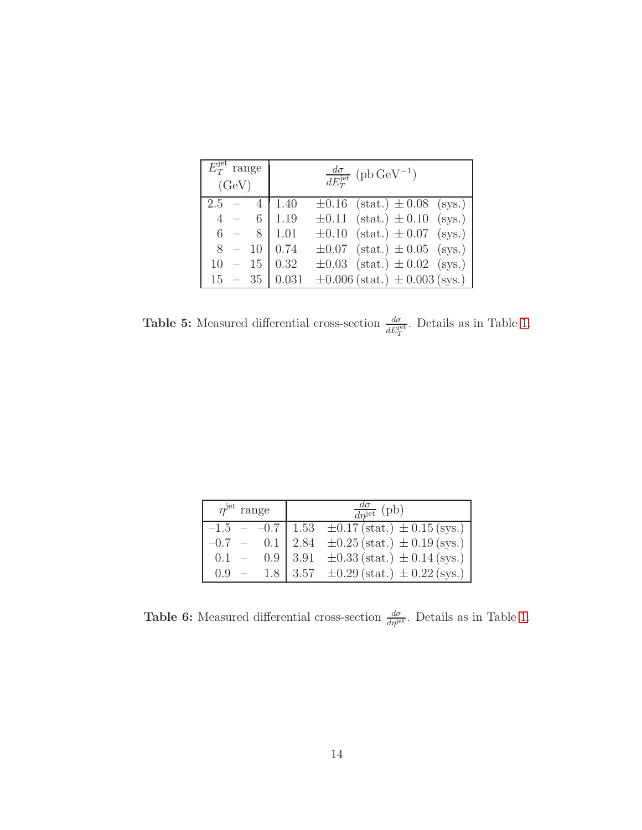| $\overline{E_T^{\text{jet}}}$ range<br>(GeV) | $\frac{d\sigma}{dE_T^{\rm jet}}$ (pb GeV <sup>-1</sup> ) |
|----------------------------------------------|----------------------------------------------------------|
| $2.5 -$<br>$4 \cdot$                         | $\pm 0.16$ (stat.) $\pm 0.08$ (sys.)<br>$\mid$ 1.40      |
| $4 - 6$                                      | $\pm 0.11$ (stat.) $\pm 0.10$ (sys.)<br>$\mid$ 1.19      |
| $6 - 8   1.01$                               | $\pm 0.10$ (stat.) $\pm 0.07$ (sys.)                     |
| $8 - 10   0.74$                              | $\pm 0.07$ (stat.) $\pm 0.05$ (sys.)                     |
| $10 - 15   0.32$                             | $\pm 0.03$ (stat.) $\pm 0.02$ (sys.)                     |
| $15 - 35   0.031$                            | $\pm 0.006$ (stat.) $\pm 0.003$ (sys.)                   |

**Table 5:** Measured differential cross-section  $\frac{d\sigma}{dE_T^{\text{jet}}}.$  Details as in Table [1.](#page-20-0)

| $\eta^{\rm jet}$ range | $\frac{d\sigma}{d\eta^{\text{jet}}}$ (pb)                   |
|------------------------|-------------------------------------------------------------|
|                        | $-1.5$ - $-0.7$   1.53 $\pm 0.17$ (stat.) $\pm 0.15$ (sys.) |
| $-0.7 -$               | 0.1   2.84 $\pm 0.25$ (stat.) $\pm$ 0.19 (sys.)             |
| 0.1                    | 0.9 3.91 $\pm$ 0.33 (stat.) $\pm$ 0.14 (sys.)               |
| $0.9 -$                | 1.8 3.57 $\pm 0.29$ (stat.) $\pm 0.22$ (sys.)               |

<span id="page-21-0"></span>**Table 6:** Measured differential cross-section  $\frac{d\sigma}{d\eta^{jet}}$ . Details as in Table [1.](#page-20-0)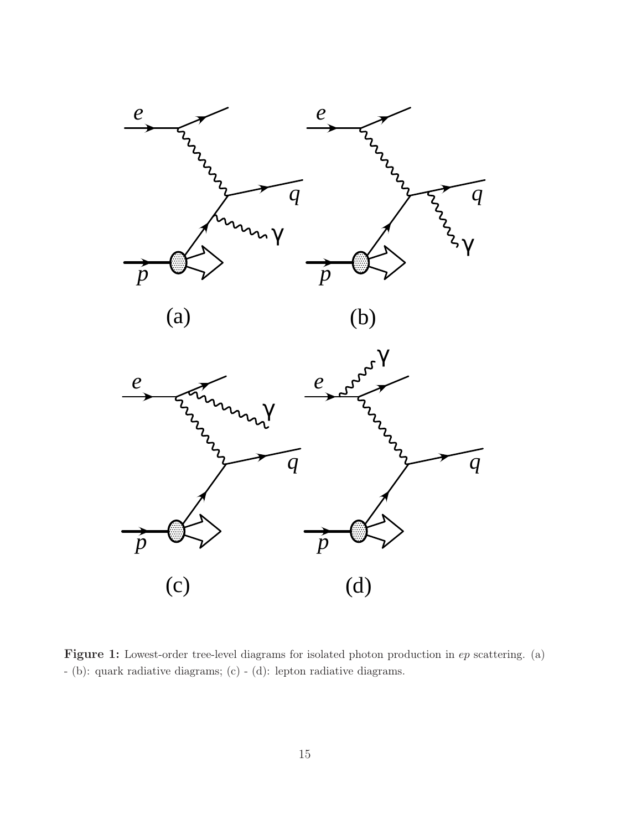



(b)



<span id="page-22-0"></span>Figure 1: Lowest-order tree-level diagrams for isolated photon production in  $ep$  scattering. (a) - (b): quark radiative diagrams; (c) - (d): lepton radiative diagrams.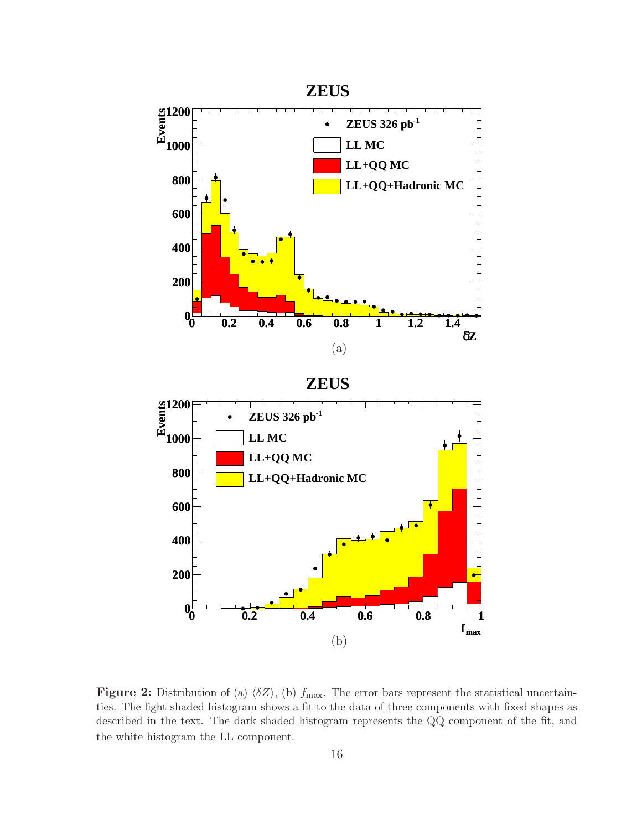

<span id="page-23-0"></span>Figure 2: Distribution of (a)  $\langle \delta Z \rangle$ , (b)  $f_{\text{max}}$ . The error bars represent the statistical uncertainties. The light shaded histogram shows a fit to the data of three components with fixed shapes as described in the text. The dark shaded histogram represents the QQ component of the fit, and the white histogram the LL component.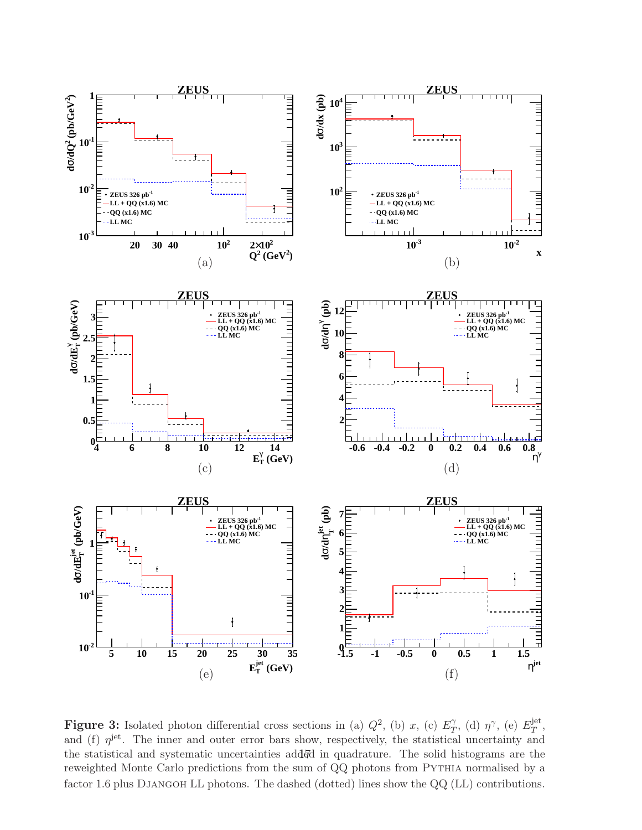

<span id="page-24-0"></span>**Figure 3:** Isolated photon differential cross sections in (a)  $Q^2$ , (b) x, (c)  $E_T^{\gamma}$  $\gamma_T^{\gamma}$ , (d)  $η^{\gamma}$ , (e)  $E_T^{\text{jet}}$  $_T^{\rm jet},$ and (f)  $\eta^{\text{jet}}$ . The inner and outer error bars show, respectively, the statistical uncertainty and the statistical and systematic uncertainties add<sup>7</sup>d in quadrature. The solid histograms are the reweighted Monte Carlo predictions from the sum of QQ photons from PYTHIA normalised by a factor 1.6 plus DJANGOH LL photons. The dashed (dotted) lines show the QQ (LL) contributions.